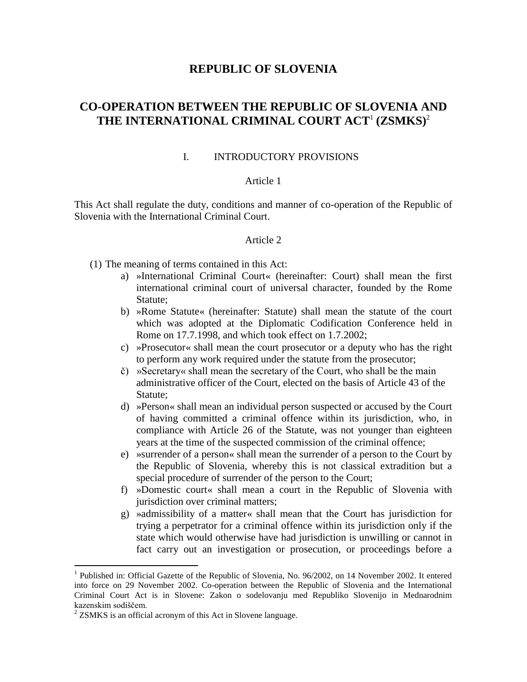# **REPUBLIC OF SLOVENIA**

# **CO-OPERATION BETWEEN THE REPUBLIC OF SLOVENIA AND THE INTERNATIONAL CRIMINAL COURT ACT**<sup>1</sup> **(ZSMKS)**<sup>2</sup>

### I. INTRODUCTORY PROVISIONS

### Article 1

This Act shall regulate the duty, conditions and manner of co-operation of the Republic of Slovenia with the International Criminal Court.

#### Article 2

- (1) The meaning of terms contained in this Act:
	- a) »International Criminal Court« (hereinafter: Court) shall mean the first international criminal court of universal character, founded by the Rome Statute;
	- b) »Rome Statute« (hereinafter: Statute) shall mean the statute of the court which was adopted at the Diplomatic Codification Conference held in Rome on 17.7.1998, and which took effect on 1.7.2002;
	- c) »Prosecutor« shall mean the court prosecutor or a deputy who has the right to perform any work required under the statute from the prosecutor;
	- č) »Secretary« shall mean the secretary of the Court, who shall be the main administrative officer of the Court, elected on the basis of Article 43 of the Statute;
	- d) »Person« shall mean an individual person suspected or accused by the Court of having committed a criminal offence within its jurisdiction, who, in compliance with Article 26 of the Statute, was not younger than eighteen years at the time of the suspected commission of the criminal offence;
	- e) »surrender of a person« shall mean the surrender of a person to the Court by the Republic of Slovenia, whereby this is not classical extradition but a special procedure of surrender of the person to the Court;
	- f) »Domestic court« shall mean a court in the Republic of Slovenia with jurisdiction over criminal matters;
	- g) »admissibility of a matter« shall mean that the Court has jurisdiction for trying a perpetrator for a criminal offence within its jurisdiction only if the state which would otherwise have had jurisdiction is unwilling or cannot in fact carry out an investigation or prosecution, or proceedings before a

 $\overline{a}$ 

<sup>&</sup>lt;sup>1</sup> Published in: Official Gazette of the Republic of Slovenia, No. 96/2002, on 14 November 2002. It entered into force on 29 November 2002. Co-operation between the Republic of Slovenia and the International Criminal Court Act is in Slovene: Zakon o sodelovanju med Republiko Slovenijo in Mednarodnim kazenskim sodiščem.

 $2$  ZSMKS is an official acronym of this Act in Slovene language.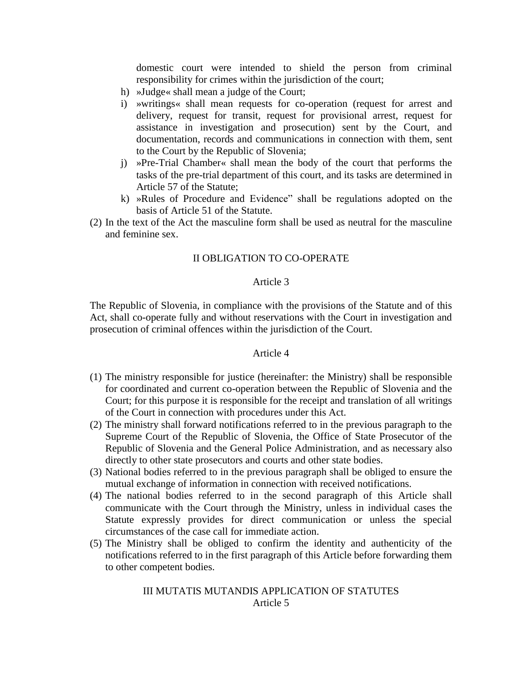domestic court were intended to shield the person from criminal responsibility for crimes within the jurisdiction of the court;

- h) »Judge« shall mean a judge of the Court;
- i) »writings« shall mean requests for co-operation (request for arrest and delivery, request for transit, request for provisional arrest, request for assistance in investigation and prosecution) sent by the Court, and documentation, records and communications in connection with them, sent to the Court by the Republic of Slovenia;
- j) »Pre-Trial Chamber« shall mean the body of the court that performs the tasks of the pre-trial department of this court, and its tasks are determined in Article 57 of the Statute;
- k) »Rules of Procedure and Evidence" shall be regulations adopted on the basis of Article 51 of the Statute.
- (2) In the text of the Act the masculine form shall be used as neutral for the masculine and feminine sex.

#### II OBLIGATION TO CO-OPERATE

#### Article 3

The Republic of Slovenia, in compliance with the provisions of the Statute and of this Act, shall co-operate fully and without reservations with the Court in investigation and prosecution of criminal offences within the jurisdiction of the Court.

#### Article 4

- (1) The ministry responsible for justice (hereinafter: the Ministry) shall be responsible for coordinated and current co-operation between the Republic of Slovenia and the Court; for this purpose it is responsible for the receipt and translation of all writings of the Court in connection with procedures under this Act.
- (2) The ministry shall forward notifications referred to in the previous paragraph to the Supreme Court of the Republic of Slovenia, the Office of State Prosecutor of the Republic of Slovenia and the General Police Administration, and as necessary also directly to other state prosecutors and courts and other state bodies.
- (3) National bodies referred to in the previous paragraph shall be obliged to ensure the mutual exchange of information in connection with received notifications.
- (4) The national bodies referred to in the second paragraph of this Article shall communicate with the Court through the Ministry, unless in individual cases the Statute expressly provides for direct communication or unless the special circumstances of the case call for immediate action.
- (5) The Ministry shall be obliged to confirm the identity and authenticity of the notifications referred to in the first paragraph of this Article before forwarding them to other competent bodies.

#### III MUTATIS MUTANDIS APPLICATION OF STATUTES Article 5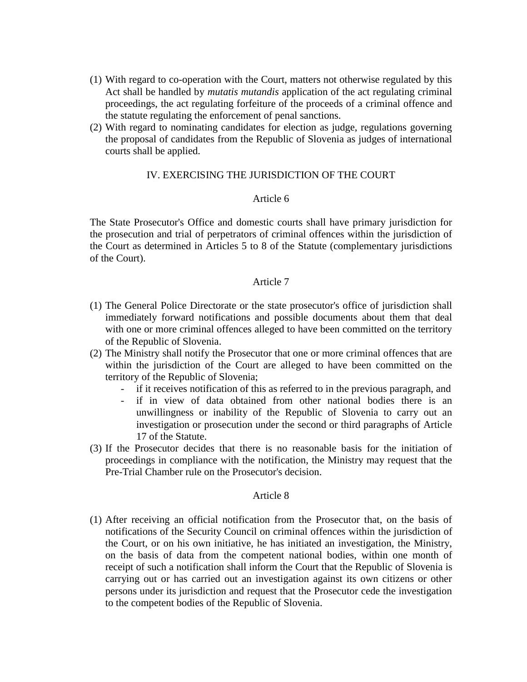- (1) With regard to co-operation with the Court, matters not otherwise regulated by this Act shall be handled by *mutatis mutandis* application of the act regulating criminal proceedings, the act regulating forfeiture of the proceeds of a criminal offence and the statute regulating the enforcement of penal sanctions.
- (2) With regard to nominating candidates for election as judge, regulations governing the proposal of candidates from the Republic of Slovenia as judges of international courts shall be applied.

### IV. EXERCISING THE JURISDICTION OF THE COURT

### Article 6

The State Prosecutor's Office and domestic courts shall have primary jurisdiction for the prosecution and trial of perpetrators of criminal offences within the jurisdiction of the Court as determined in Articles 5 to 8 of the Statute (complementary jurisdictions of the Court).

#### Article 7

- (1) The General Police Directorate or the state prosecutor's office of jurisdiction shall immediately forward notifications and possible documents about them that deal with one or more criminal offences alleged to have been committed on the territory of the Republic of Slovenia.
- (2) The Ministry shall notify the Prosecutor that one or more criminal offences that are within the jurisdiction of the Court are alleged to have been committed on the territory of the Republic of Slovenia;
	- if it receives notification of this as referred to in the previous paragraph, and
	- if in view of data obtained from other national bodies there is an unwillingness or inability of the Republic of Slovenia to carry out an investigation or prosecution under the second or third paragraphs of Article 17 of the Statute.
- (3) If the Prosecutor decides that there is no reasonable basis for the initiation of proceedings in compliance with the notification, the Ministry may request that the Pre-Trial Chamber rule on the Prosecutor's decision.

#### Article 8

(1) After receiving an official notification from the Prosecutor that, on the basis of notifications of the Security Council on criminal offences within the jurisdiction of the Court, or on his own initiative, he has initiated an investigation, the Ministry, on the basis of data from the competent national bodies, within one month of receipt of such a notification shall inform the Court that the Republic of Slovenia is carrying out or has carried out an investigation against its own citizens or other persons under its jurisdiction and request that the Prosecutor cede the investigation to the competent bodies of the Republic of Slovenia.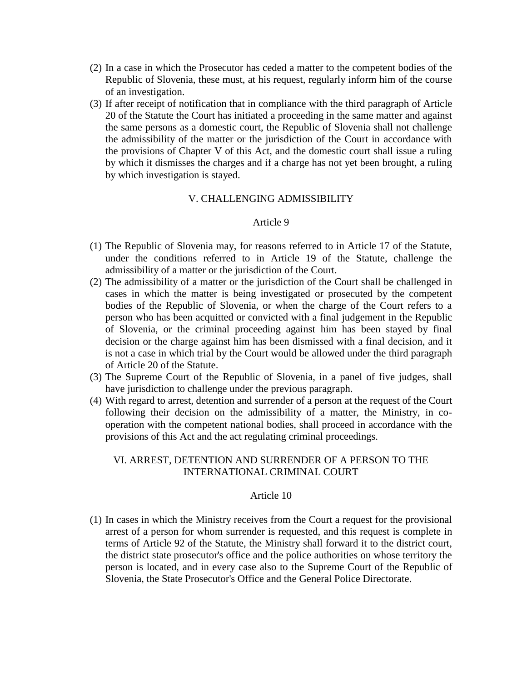- (2) In a case in which the Prosecutor has ceded a matter to the competent bodies of the Republic of Slovenia, these must, at his request, regularly inform him of the course of an investigation.
- (3) If after receipt of notification that in compliance with the third paragraph of Article 20 of the Statute the Court has initiated a proceeding in the same matter and against the same persons as a domestic court, the Republic of Slovenia shall not challenge the admissibility of the matter or the jurisdiction of the Court in accordance with the provisions of Chapter V of this Act, and the domestic court shall issue a ruling by which it dismisses the charges and if a charge has not yet been brought, a ruling by which investigation is stayed.

# V. CHALLENGING ADMISSIBILITY

### Article 9

- (1) The Republic of Slovenia may, for reasons referred to in Article 17 of the Statute, under the conditions referred to in Article 19 of the Statute, challenge the admissibility of a matter or the jurisdiction of the Court.
- (2) The admissibility of a matter or the jurisdiction of the Court shall be challenged in cases in which the matter is being investigated or prosecuted by the competent bodies of the Republic of Slovenia, or when the charge of the Court refers to a person who has been acquitted or convicted with a final judgement in the Republic of Slovenia, or the criminal proceeding against him has been stayed by final decision or the charge against him has been dismissed with a final decision, and it is not a case in which trial by the Court would be allowed under the third paragraph of Article 20 of the Statute.
- (3) The Supreme Court of the Republic of Slovenia, in a panel of five judges, shall have jurisdiction to challenge under the previous paragraph.
- (4) With regard to arrest, detention and surrender of a person at the request of the Court following their decision on the admissibility of a matter, the Ministry, in cooperation with the competent national bodies, shall proceed in accordance with the provisions of this Act and the act regulating criminal proceedings.

# VI. ARREST, DETENTION AND SURRENDER OF A PERSON TO THE INTERNATIONAL CRIMINAL COURT

#### Article 10

(1) In cases in which the Ministry receives from the Court a request for the provisional arrest of a person for whom surrender is requested, and this request is complete in terms of Article 92 of the Statute, the Ministry shall forward it to the district court, the district state prosecutor's office and the police authorities on whose territory the person is located, and in every case also to the Supreme Court of the Republic of Slovenia, the State Prosecutor's Office and the General Police Directorate.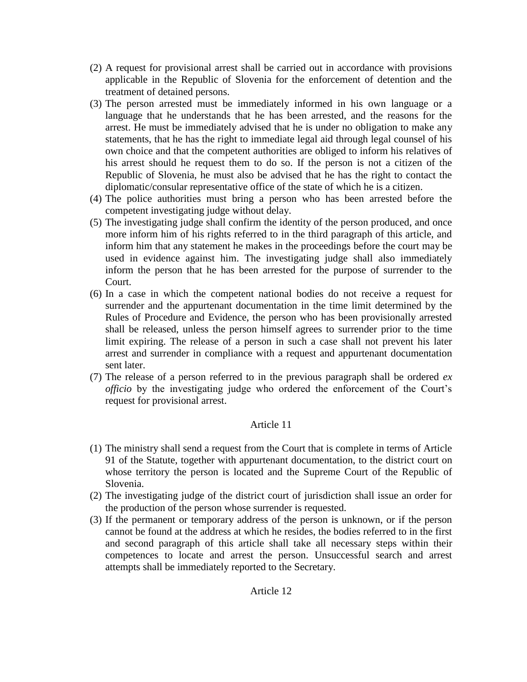- (2) A request for provisional arrest shall be carried out in accordance with provisions applicable in the Republic of Slovenia for the enforcement of detention and the treatment of detained persons.
- (3) The person arrested must be immediately informed in his own language or a language that he understands that he has been arrested, and the reasons for the arrest. He must be immediately advised that he is under no obligation to make any statements, that he has the right to immediate legal aid through legal counsel of his own choice and that the competent authorities are obliged to inform his relatives of his arrest should he request them to do so. If the person is not a citizen of the Republic of Slovenia, he must also be advised that he has the right to contact the diplomatic/consular representative office of the state of which he is a citizen.
- (4) The police authorities must bring a person who has been arrested before the competent investigating judge without delay.
- (5) The investigating judge shall confirm the identity of the person produced, and once more inform him of his rights referred to in the third paragraph of this article, and inform him that any statement he makes in the proceedings before the court may be used in evidence against him. The investigating judge shall also immediately inform the person that he has been arrested for the purpose of surrender to the Court.
- (6) In a case in which the competent national bodies do not receive a request for surrender and the appurtenant documentation in the time limit determined by the Rules of Procedure and Evidence, the person who has been provisionally arrested shall be released, unless the person himself agrees to surrender prior to the time limit expiring. The release of a person in such a case shall not prevent his later arrest and surrender in compliance with a request and appurtenant documentation sent later.
- (7) The release of a person referred to in the previous paragraph shall be ordered *ex officio* by the investigating judge who ordered the enforcement of the Court's request for provisional arrest.

- (1) The ministry shall send a request from the Court that is complete in terms of Article 91 of the Statute, together with appurtenant documentation, to the district court on whose territory the person is located and the Supreme Court of the Republic of Slovenia.
- (2) The investigating judge of the district court of jurisdiction shall issue an order for the production of the person whose surrender is requested.
- (3) If the permanent or temporary address of the person is unknown, or if the person cannot be found at the address at which he resides, the bodies referred to in the first and second paragraph of this article shall take all necessary steps within their competences to locate and arrest the person. Unsuccessful search and arrest attempts shall be immediately reported to the Secretary.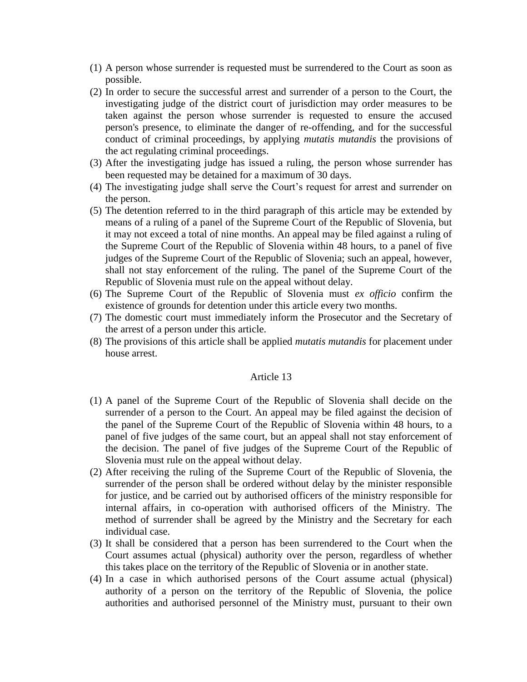- (1) A person whose surrender is requested must be surrendered to the Court as soon as possible.
- (2) In order to secure the successful arrest and surrender of a person to the Court, the investigating judge of the district court of jurisdiction may order measures to be taken against the person whose surrender is requested to ensure the accused person's presence, to eliminate the danger of re-offending, and for the successful conduct of criminal proceedings, by applying *mutatis mutandis* the provisions of the act regulating criminal proceedings.
- (3) After the investigating judge has issued a ruling, the person whose surrender has been requested may be detained for a maximum of 30 days.
- (4) The investigating judge shall serve the Court's request for arrest and surrender on the person.
- (5) The detention referred to in the third paragraph of this article may be extended by means of a ruling of a panel of the Supreme Court of the Republic of Slovenia, but it may not exceed a total of nine months. An appeal may be filed against a ruling of the Supreme Court of the Republic of Slovenia within 48 hours, to a panel of five judges of the Supreme Court of the Republic of Slovenia; such an appeal, however, shall not stay enforcement of the ruling. The panel of the Supreme Court of the Republic of Slovenia must rule on the appeal without delay.
- (6) The Supreme Court of the Republic of Slovenia must *ex officio* confirm the existence of grounds for detention under this article every two months.
- (7) The domestic court must immediately inform the Prosecutor and the Secretary of the arrest of a person under this article.
- (8) The provisions of this article shall be applied *mutatis mutandis* for placement under house arrest.

- (1) A panel of the Supreme Court of the Republic of Slovenia shall decide on the surrender of a person to the Court. An appeal may be filed against the decision of the panel of the Supreme Court of the Republic of Slovenia within 48 hours, to a panel of five judges of the same court, but an appeal shall not stay enforcement of the decision. The panel of five judges of the Supreme Court of the Republic of Slovenia must rule on the appeal without delay.
- (2) After receiving the ruling of the Supreme Court of the Republic of Slovenia, the surrender of the person shall be ordered without delay by the minister responsible for justice, and be carried out by authorised officers of the ministry responsible for internal affairs, in co-operation with authorised officers of the Ministry. The method of surrender shall be agreed by the Ministry and the Secretary for each individual case.
- (3) It shall be considered that a person has been surrendered to the Court when the Court assumes actual (physical) authority over the person, regardless of whether this takes place on the territory of the Republic of Slovenia or in another state.
- (4) In a case in which authorised persons of the Court assume actual (physical) authority of a person on the territory of the Republic of Slovenia, the police authorities and authorised personnel of the Ministry must, pursuant to their own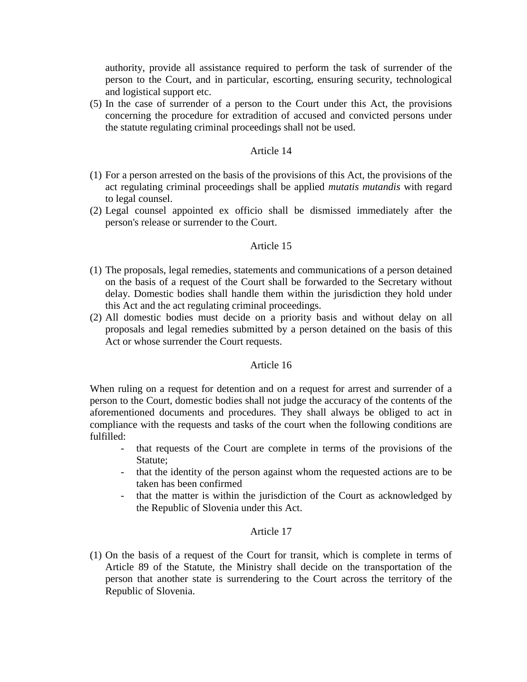authority, provide all assistance required to perform the task of surrender of the person to the Court, and in particular, escorting, ensuring security, technological and logistical support etc.

(5) In the case of surrender of a person to the Court under this Act, the provisions concerning the procedure for extradition of accused and convicted persons under the statute regulating criminal proceedings shall not be used.

### Article 14

- (1) For a person arrested on the basis of the provisions of this Act, the provisions of the act regulating criminal proceedings shall be applied *mutatis mutandis* with regard to legal counsel.
- (2) Legal counsel appointed ex officio shall be dismissed immediately after the person's release or surrender to the Court.

### Article 15

- (1) The proposals, legal remedies, statements and communications of a person detained on the basis of a request of the Court shall be forwarded to the Secretary without delay. Domestic bodies shall handle them within the jurisdiction they hold under this Act and the act regulating criminal proceedings.
- (2) All domestic bodies must decide on a priority basis and without delay on all proposals and legal remedies submitted by a person detained on the basis of this Act or whose surrender the Court requests.

### Article 16

When ruling on a request for detention and on a request for arrest and surrender of a person to the Court, domestic bodies shall not judge the accuracy of the contents of the aforementioned documents and procedures. They shall always be obliged to act in compliance with the requests and tasks of the court when the following conditions are fulfilled:

- that requests of the Court are complete in terms of the provisions of the Statute;
- that the identity of the person against whom the requested actions are to be taken has been confirmed
- that the matter is within the jurisdiction of the Court as acknowledged by the Republic of Slovenia under this Act.

### Article 17

(1) On the basis of a request of the Court for transit, which is complete in terms of Article 89 of the Statute, the Ministry shall decide on the transportation of the person that another state is surrendering to the Court across the territory of the Republic of Slovenia.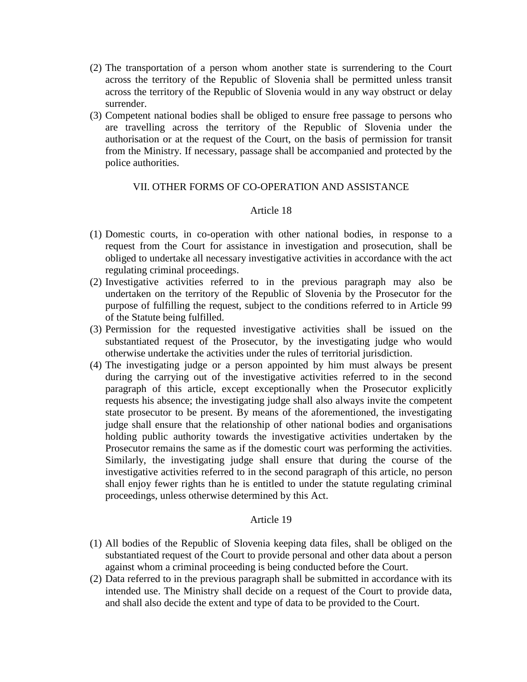- (2) The transportation of a person whom another state is surrendering to the Court across the territory of the Republic of Slovenia shall be permitted unless transit across the territory of the Republic of Slovenia would in any way obstruct or delay surrender.
- (3) Competent national bodies shall be obliged to ensure free passage to persons who are travelling across the territory of the Republic of Slovenia under the authorisation or at the request of the Court, on the basis of permission for transit from the Ministry. If necessary, passage shall be accompanied and protected by the police authorities.

### VII. OTHER FORMS OF CO-OPERATION AND ASSISTANCE

### Article 18

- (1) Domestic courts, in co-operation with other national bodies, in response to a request from the Court for assistance in investigation and prosecution, shall be obliged to undertake all necessary investigative activities in accordance with the act regulating criminal proceedings.
- (2) Investigative activities referred to in the previous paragraph may also be undertaken on the territory of the Republic of Slovenia by the Prosecutor for the purpose of fulfilling the request, subject to the conditions referred to in Article 99 of the Statute being fulfilled.
- (3) Permission for the requested investigative activities shall be issued on the substantiated request of the Prosecutor, by the investigating judge who would otherwise undertake the activities under the rules of territorial jurisdiction.
- (4) The investigating judge or a person appointed by him must always be present during the carrying out of the investigative activities referred to in the second paragraph of this article, except exceptionally when the Prosecutor explicitly requests his absence; the investigating judge shall also always invite the competent state prosecutor to be present. By means of the aforementioned, the investigating judge shall ensure that the relationship of other national bodies and organisations holding public authority towards the investigative activities undertaken by the Prosecutor remains the same as if the domestic court was performing the activities. Similarly, the investigating judge shall ensure that during the course of the investigative activities referred to in the second paragraph of this article, no person shall enjoy fewer rights than he is entitled to under the statute regulating criminal proceedings, unless otherwise determined by this Act.

- (1) All bodies of the Republic of Slovenia keeping data files, shall be obliged on the substantiated request of the Court to provide personal and other data about a person against whom a criminal proceeding is being conducted before the Court.
- (2) Data referred to in the previous paragraph shall be submitted in accordance with its intended use. The Ministry shall decide on a request of the Court to provide data, and shall also decide the extent and type of data to be provided to the Court.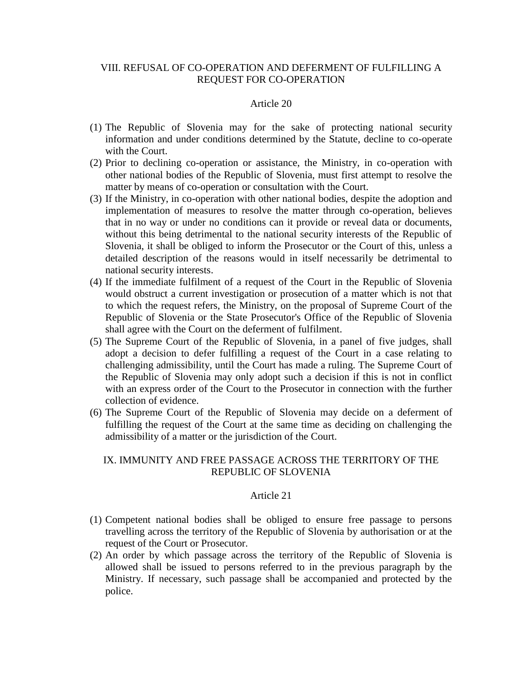# VIII. REFUSAL OF CO-OPERATION AND DEFERMENT OF FULFILLING A REQUEST FOR CO-OPERATION

#### Article 20

- (1) The Republic of Slovenia may for the sake of protecting national security information and under conditions determined by the Statute, decline to co-operate with the Court.
- (2) Prior to declining co-operation or assistance, the Ministry, in co-operation with other national bodies of the Republic of Slovenia, must first attempt to resolve the matter by means of co-operation or consultation with the Court.
- (3) If the Ministry, in co-operation with other national bodies, despite the adoption and implementation of measures to resolve the matter through co-operation, believes that in no way or under no conditions can it provide or reveal data or documents, without this being detrimental to the national security interests of the Republic of Slovenia, it shall be obliged to inform the Prosecutor or the Court of this, unless a detailed description of the reasons would in itself necessarily be detrimental to national security interests.
- (4) If the immediate fulfilment of a request of the Court in the Republic of Slovenia would obstruct a current investigation or prosecution of a matter which is not that to which the request refers, the Ministry, on the proposal of Supreme Court of the Republic of Slovenia or the State Prosecutor's Office of the Republic of Slovenia shall agree with the Court on the deferment of fulfilment.
- (5) The Supreme Court of the Republic of Slovenia, in a panel of five judges, shall adopt a decision to defer fulfilling a request of the Court in a case relating to challenging admissibility, until the Court has made a ruling. The Supreme Court of the Republic of Slovenia may only adopt such a decision if this is not in conflict with an express order of the Court to the Prosecutor in connection with the further collection of evidence.
- (6) The Supreme Court of the Republic of Slovenia may decide on a deferment of fulfilling the request of the Court at the same time as deciding on challenging the admissibility of a matter or the jurisdiction of the Court.

### IX. IMMUNITY AND FREE PASSAGE ACROSS THE TERRITORY OF THE REPUBLIC OF SLOVENIA

- (1) Competent national bodies shall be obliged to ensure free passage to persons travelling across the territory of the Republic of Slovenia by authorisation or at the request of the Court or Prosecutor.
- (2) An order by which passage across the territory of the Republic of Slovenia is allowed shall be issued to persons referred to in the previous paragraph by the Ministry. If necessary, such passage shall be accompanied and protected by the police.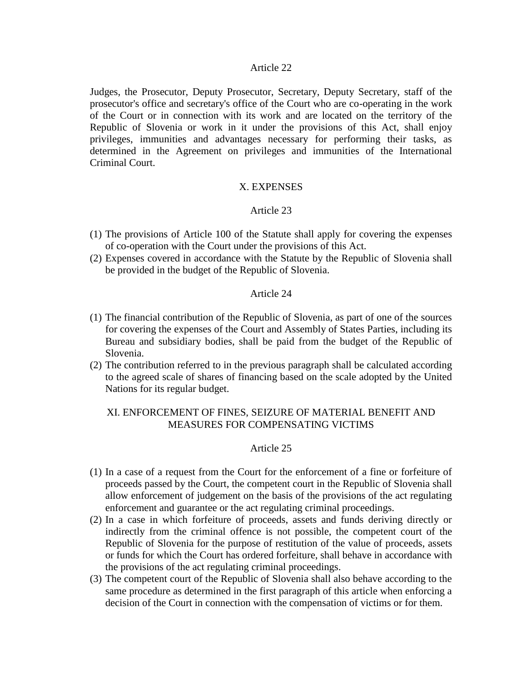#### Article 22

Judges, the Prosecutor, Deputy Prosecutor, Secretary, Deputy Secretary, staff of the prosecutor's office and secretary's office of the Court who are co-operating in the work of the Court or in connection with its work and are located on the territory of the Republic of Slovenia or work in it under the provisions of this Act, shall enjoy privileges, immunities and advantages necessary for performing their tasks, as determined in the Agreement on privileges and immunities of the International Criminal Court.

#### X. EXPENSES

#### Article 23

- (1) The provisions of Article 100 of the Statute shall apply for covering the expenses of co-operation with the Court under the provisions of this Act.
- (2) Expenses covered in accordance with the Statute by the Republic of Slovenia shall be provided in the budget of the Republic of Slovenia.

#### Article 24

- (1) The financial contribution of the Republic of Slovenia, as part of one of the sources for covering the expenses of the Court and Assembly of States Parties, including its Bureau and subsidiary bodies, shall be paid from the budget of the Republic of Slovenia.
- (2) The contribution referred to in the previous paragraph shall be calculated according to the agreed scale of shares of financing based on the scale adopted by the United Nations for its regular budget.

### XI. ENFORCEMENT OF FINES, SEIZURE OF MATERIAL BENEFIT AND MEASURES FOR COMPENSATING VICTIMS

- (1) In a case of a request from the Court for the enforcement of a fine or forfeiture of proceeds passed by the Court, the competent court in the Republic of Slovenia shall allow enforcement of judgement on the basis of the provisions of the act regulating enforcement and guarantee or the act regulating criminal proceedings.
- (2) In a case in which forfeiture of proceeds, assets and funds deriving directly or indirectly from the criminal offence is not possible, the competent court of the Republic of Slovenia for the purpose of restitution of the value of proceeds, assets or funds for which the Court has ordered forfeiture, shall behave in accordance with the provisions of the act regulating criminal proceedings.
- (3) The competent court of the Republic of Slovenia shall also behave according to the same procedure as determined in the first paragraph of this article when enforcing a decision of the Court in connection with the compensation of victims or for them.